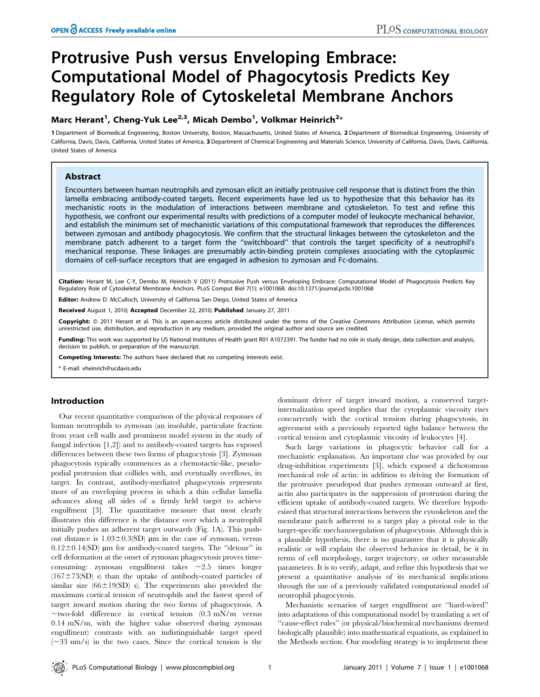# Protrusive Push versus Enveloping Embrace: Computational Model of Phagocytosis Predicts Key Regulatory Role of Cytoskeletal Membrane Anchors

## Marc Herant<sup>1</sup>, Cheng-Yuk Lee<sup>2,3</sup>, Micah Dembo<sup>1</sup>, Volkmar Heinrich<sup>2</sup>\*

1 Department of Biomedical Engineering, Boston University, Boston, Massachusetts, United States of America, 2 Department of Biomedical Engineering, University of California, Davis, Davis, California, United States of America, 3 Department of Chemical Engineering and Materials Science, University of California, Davis, Davis, California, United States of America

## Abstract

Encounters between human neutrophils and zymosan elicit an initially protrusive cell response that is distinct from the thin lamella embracing antibody-coated targets. Recent experiments have led us to hypothesize that this behavior has its mechanistic roots in the modulation of interactions between membrane and cytoskeleton. To test and refine this hypothesis, we confront our experimental results with predictions of a computer model of leukocyte mechanical behavior, and establish the minimum set of mechanistic variations of this computational framework that reproduces the differences between zymosan and antibody phagocytosis. We confirm that the structural linkages between the cytoskeleton and the membrane patch adherent to a target form the ''switchboard'' that controls the target specificity of a neutrophil's mechanical response. These linkages are presumably actin-binding protein complexes associating with the cytoplasmic domains of cell-surface receptors that are engaged in adhesion to zymosan and Fc-domains.

Citation: Herant M, Lee C-Y, Dembo M, Heinrich V (2011) Protrusive Push versus Enveloping Embrace: Computational Model of Phagocytosis Predicts Key Regulatory Role of Cytoskeletal Membrane Anchors. PLoS Comput Biol 7(1): e1001068. doi:10.1371/journal.pcbi.1001068

Editor: Andrew D. McCulloch, University of California San Diego, United States of America

Received August 1, 2010; Accepted December 22, 2010; Published January 27, 2011

Copyright: © 2011 Herant et al. This is an open-access article distributed under the terms of the Creative Commons Attribution License, which permits unrestricted use, distribution, and reproduction in any medium, provided the original author and source are credited.

Funding: This work was supported by US National Institutes of Health grant R01 A1072391. The funder had no role in study design, data collection and analysis, decision to publish, or preparation of the manuscript.

Competing Interests: The authors have declared that no competing interests exist.

\* E-mail: vheinrich@ucdavis.edu

## Introduction

Our recent quantitative comparison of the physical responses of human neutrophils to zymosan (an insoluble, particulate fraction from yeast cell walls and prominent model system in the study of fungal infection [1,2]) and to antibody-coated targets has exposed differences between these two forms of phagocytosis [3]. Zymosan phagocytosis typically commences as a chemotactic-like, pseudopodial protrusion that collides with, and eventually overflows, its target. In contrast, antibody-mediated phagocytosis represents more of an enveloping process in which a thin cellular lamella advances along all sides of a firmly held target to achieve engulfment [3]. The quantitative measure that most clearly illustrates this difference is the distance over which a neutrophil initially pushes an adherent target outwards (Fig. 1A). This pushout distance is  $1.03\pm0.3(SD)$  µm in the case of zymosan, versus  $0.12\pm0.14$ (SD) µm for antibody-coated targets. The "detour" in cell deformation at the onset of zymosan phagocytosis proves timeconsuming: zymosan engulfment takes  $\sim 2.5$  times longer  $(167\pm73(SD)$  s) than the uptake of antibody-coated particles of similar size  $(66 \pm 19(SD)$  s). The experiments also provided the maximum cortical tension of neutrophils and the fastest speed of target inward motion during the two forms of phagocytosis. A  $\sim$ two-fold difference in cortical tension (0.3 mN/m versus 0.14 mN/m, with the higher value observed during zymosan engulfment) contrasts with an indistinguishable target speed  $(\sim 33 \text{ nm/s})$  in the two cases. Since the cortical tension is the

dominant driver of target inward motion, a conserved targetinternalization speed implies that the cytoplasmic viscosity rises concurrently with the cortical tension during phagocytosis, in agreement with a previously reported tight balance between the cortical tension and cytoplasmic viscosity of leukocytes [4].

Such large variations in phagocytic behavior call for a mechanistic explanation. An important clue was provided by our drug-inhibition experiments [3], which exposed a dichotomous mechanical role of actin: in addition to driving the formation of the protrusive pseudopod that pushes zymosan outward at first, actin also participates in the suppression of protrusion during the efficient uptake of antibody-coated targets. We therefore hypothesized that structural interactions between the cytoskeleton and the membrane patch adherent to a target play a pivotal role in the target-specific mechanoregulation of phagocytosis. Although this is a plausible hypothesis, there is no guarantee that it is physically realistic or will explain the observed behavior in detail, be it in terms of cell morphology, target trajectory, or other measurable parameters. It is to verify, adapt, and refine this hypothesis that we present a quantitative analysis of its mechanical implications through the use of a previously validated computational model of neutrophil phagocytosis.

Mechanistic scenarios of target engulfment are ''hard-wired'' into adaptations of this computational model by translating a set of ''cause-effect rules'' (or physical/biochemical mechanisms deemed biologically plausible) into mathematical equations, as explained in the Methods section. Our modeling strategy is to implement these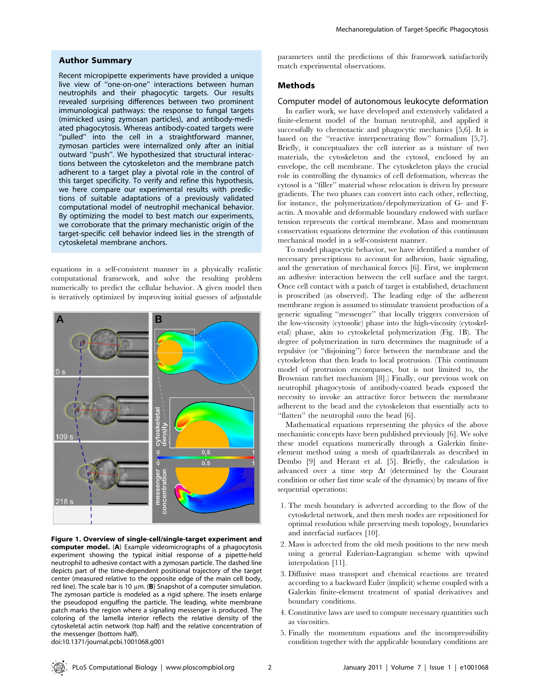#### Author Summary

Recent micropipette experiments have provided a unique live view of ''one-on-one'' interactions between human neutrophils and their phagocytic targets. Our results revealed surprising differences between two prominent immunological pathways: the response to fungal targets (mimicked using zymosan particles), and antibody-mediated phagocytosis. Whereas antibody-coated targets were ''pulled'' into the cell in a straightforward manner, zymosan particles were internalized only after an initial outward ''push''. We hypothesized that structural interactions between the cytoskeleton and the membrane patch adherent to a target play a pivotal role in the control of this target specificity. To verify and refine this hypothesis, we here compare our experimental results with predictions of suitable adaptations of a previously validated computational model of neutrophil mechanical behavior. By optimizing the model to best match our experiments, we corroborate that the primary mechanistic origin of the target-specific cell behavior indeed lies in the strength of cytoskeletal membrane anchors.

equations in a self-consistent manner in a physically realistic computational framework, and solve the resulting problem numerically to predict the cellular behavior. A given model then is iteratively optimized by improving initial guesses of adjustable



Figure 1. Overview of single-cell/single-target experiment and computer model. (A) Example videomicrographs of a phagocytosis experiment showing the typical initial response of a pipette-held neutrophil to adhesive contact with a zymosan particle. The dashed line depicts part of the time-dependent positional trajectory of the target center (measured relative to the opposite edge of the main cell body, red line). The scale bar is 10  $\mu$ m. (B) Snapshot of a computer simulation. The zymosan particle is modeled as a rigid sphere. The insets enlarge the pseudopod engulfing the particle. The leading, white membrane patch marks the region where a signaling messenger is produced. The coloring of the lamella interior reflects the relative density of the cytoskeletal actin network (top half) and the relative concentration of the messenger (bottom half). doi:10.1371/journal.pcbi.1001068.g001

parameters until the predictions of this framework satisfactorily match experimental observations.

### Methods

#### Computer model of autonomous leukocyte deformation

In earlier work, we have developed and extensively validated a finite-element model of the human neutrophil, and applied it successfully to chemotactic and phagocytic mechanics [5,6]. It is based on the "reactive interpenetrating flow" formalism [5,7]. Briefly, it conceptualizes the cell interior as a mixture of two materials, the cytoskeleton and the cytosol, enclosed by an envelope, the cell membrane. The cytoskeleton plays the crucial role in controlling the dynamics of cell deformation, whereas the cytosol is a ''filler'' material whose relocation is driven by pressure gradients. The two phases can convert into each other, reflecting, for instance, the polymerization/depolymerization of G- and Factin. A movable and deformable boundary endowed with surface tension represents the cortical membrane. Mass and momentum conservation equations determine the evolution of this continuum mechanical model in a self-consistent manner.

To model phagocytic behavior, we have identified a number of necessary prescriptions to account for adhesion, basic signaling, and the generation of mechanical forces [6]. First, we implement an adhesive interaction between the cell surface and the target. Once cell contact with a patch of target is established, detachment is proscribed (as observed). The leading edge of the adherent membrane region is assumed to stimulate transient production of a generic signaling ''messenger'' that locally triggers conversion of the low-viscosity (cytosolic) phase into the high-viscosity (cytoskeletal) phase, akin to cytoskeletal polymerization (Fig. 1B). The degree of polymerization in turn determines the magnitude of a repulsive (or ''disjoining'') force between the membrane and the cytoskeleton that then leads to local protrusion. (This continuum model of protrusion encompasses, but is not limited to, the Brownian ratchet mechanism [8].) Finally, our previous work on neutrophil phagocytosis of antibody-coated beads exposed the necessity to invoke an attractive force between the membrane adherent to the bead and the cytoskeleton that essentially acts to ''flatten'' the neutrophil onto the bead [6].

Mathematical equations representing the physics of the above mechanistic concepts have been published previously [6]. We solve these model equations numerically through a Galerkin finiteelement method using a mesh of quadrilaterals as described in Dembo [9] and Herant et al. [5]. Briefly, the calculation is advanced over a time step  $\Delta t$  (determined by the Courant condition or other fast time scale of the dynamics) by means of five sequential operations:

- 1. The mesh boundary is advected according to the flow of the cytoskeletal network, and then mesh nodes are repositioned for optimal resolution while preserving mesh topology, boundaries and interfacial surfaces [10].
- 2. Mass is advected from the old mesh positions to the new mesh using a general Eulerian-Lagrangian scheme with upwind interpolation [11].
- 3. Diffusive mass transport and chemical reactions are treated according to a backward Euler (implicit) scheme coupled with a Galerkin finite-element treatment of spatial derivatives and boundary conditions.
- 4. Constitutive laws are used to compute necessary quantities such as viscosities.
- 5. Finally the momentum equations and the incompressibility condition together with the applicable boundary conditions are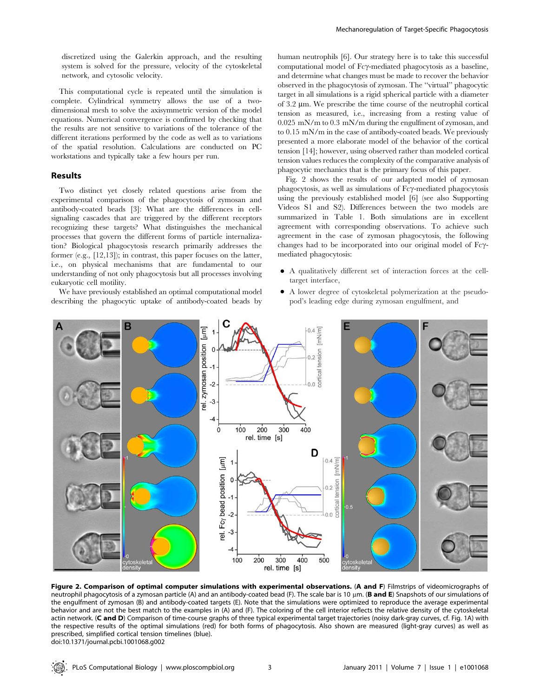discretized using the Galerkin approach, and the resulting system is solved for the pressure, velocity of the cytoskeletal network, and cytosolic velocity.

This computational cycle is repeated until the simulation is complete. Cylindrical symmetry allows the use of a twodimensional mesh to solve the axisymmetric version of the model equations. Numerical convergence is confirmed by checking that the results are not sensitive to variations of the tolerance of the different iterations performed by the code as well as to variations of the spatial resolution. Calculations are conducted on PC workstations and typically take a few hours per run.

#### Results

Two distinct yet closely related questions arise from the experimental comparison of the phagocytosis of zymosan and antibody-coated beads [3]: What are the differences in cellsignaling cascades that are triggered by the different receptors recognizing these targets? What distinguishes the mechanical processes that govern the different forms of particle internalization? Biological phagocytosis research primarily addresses the former (e.g., [12,13]); in contrast, this paper focuses on the latter, i.e., on physical mechanisms that are fundamental to our understanding of not only phagocytosis but all processes involving eukaryotic cell motility.

We have previously established an optimal computational model describing the phagocytic uptake of antibody-coated beads by human neutrophils [6]. Our strategy here is to take this successful computational model of Fc $\gamma$ -mediated phagocytosis as a baseline, and determine what changes must be made to recover the behavior observed in the phagocytosis of zymosan. The ''virtual'' phagocytic target in all simulations is a rigid spherical particle with a diameter of 3.2 µm. We prescribe the time course of the neutrophil cortical tension as measured, i.e., increasing from a resting value of 0.025 mN/m to 0.3 mN/m during the engulfment of zymosan, and to 0.15 mN/m in the case of antibody-coated beads. We previously presented a more elaborate model of the behavior of the cortical tension [14]; however, using observed rather than modeled cortical tension values reduces the complexity of the comparative analysis of phagocytic mechanics that is the primary focus of this paper.

Fig. 2 shows the results of our adapted model of zymosan phagocytosis, as well as simulations of  $Fc\gamma$ -mediated phagocytosis using the previously established model [6] (see also Supporting Videos S1 and S2). Differences between the two models are summarized in Table 1. Both simulations are in excellent agreement with corresponding observations. To achieve such agreement in the case of zymosan phagocytosis, the following changes had to be incorporated into our original model of  $Fc\gamma$ mediated phagocytosis:

- N A qualitatively different set of interaction forces at the celltarget interface,
- N A lower degree of cytoskeletal polymerization at the pseudopod's leading edge during zymosan engulfment, and



Figure 2. Comparison of optimal computer simulations with experimental observations. (A and F) Filmstrips of videomicrographs of neutrophil phagocytosis of a zymosan particle (A) and an antibody-coated bead (F). The scale bar is 10  $\mu$ m. (**B and E**) Snapshots of our simulations of the engulfment of zymosan (B) and antibody-coated targets (E). Note that the simulations were optimized to reproduce the average experimental behavior and are not the best match to the examples in (A) and (F). The coloring of the cell interior reflects the relative density of the cytoskeletal actin network. (C and D) Comparison of time-course graphs of three typical experimental target trajectories (noisy dark-gray curves, cf. Fig. 1A) with the respective results of the optimal simulations (red) for both forms of phagocytosis. Also shown are measured (light-gray curves) as well as prescribed, simplified cortical tension timelines (blue). doi:10.1371/journal.pcbi.1001068.g002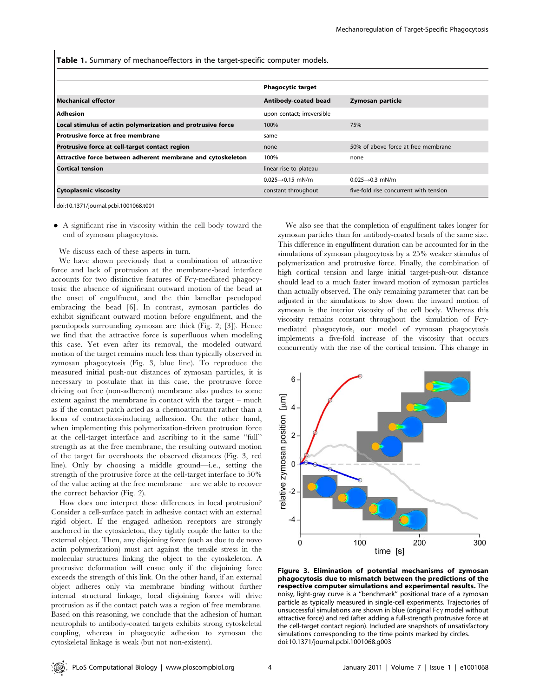Table 1. Summary of mechanoeffectors in the target-specific computer models.

|                                                             | <b>Phagocytic target</b>      |                                        |
|-------------------------------------------------------------|-------------------------------|----------------------------------------|
| Mechanical effector                                         | Antibody-coated bead          | Zymosan particle                       |
| <b>Adhesion</b>                                             | upon contact; irreversible    |                                        |
| Local stimulus of actin polymerization and protrusive force | 100%                          | 75%                                    |
| Protrusive force at free membrane                           | same                          |                                        |
| Protrusive force at cell-target contact region              | none                          | 50% of above force at free membrane    |
| Attractive force between adherent membrane and cytoskeleton | 100%                          | none                                   |
| <b>Cortical tension</b>                                     | linear rise to plateau        |                                        |
|                                                             | $0.025 \rightarrow 0.15$ mN/m | $0.025 \rightarrow 0.3$ mN/m           |
| <b>Cytoplasmic viscosity</b>                                | constant throughout           | five-fold rise concurrent with tension |

doi:10.1371/journal.pcbi.1001068.t001

N A significant rise in viscosity within the cell body toward the end of zymosan phagocytosis.

We discuss each of these aspects in turn.

We have shown previously that a combination of attractive force and lack of protrusion at the membrane-bead interface accounts for two distinctive features of  $Fc\gamma$ -mediated phagocytosis: the absence of significant outward motion of the bead at the onset of engulfment, and the thin lamellar pseudopod embracing the bead [6]. In contrast, zymosan particles do exhibit significant outward motion before engulfment, and the pseudopods surrounding zymosan are thick (Fig. 2; [3]). Hence we find that the attractive force is superfluous when modeling this case. Yet even after its removal, the modeled outward motion of the target remains much less than typically observed in zymosan phagocytosis (Fig. 3, blue line). To reproduce the measured initial push-out distances of zymosan particles, it is necessary to postulate that in this case, the protrusive force driving out free (non-adherent) membrane also pushes to some extent against the membrane in contact with the target – much as if the contact patch acted as a chemoattractant rather than a locus of contraction-inducing adhesion. On the other hand, when implementing this polymerization-driven protrusion force at the cell-target interface and ascribing to it the same ''full'' strength as at the free membrane, the resulting outward motion of the target far overshoots the observed distances (Fig. 3, red line). Only by choosing a middle ground—i.e., setting the strength of the protrusive force at the cell-target interface to 50% of the value acting at the free membrane—are we able to recover the correct behavior (Fig. 2).

How does one interpret these differences in local protrusion? Consider a cell-surface patch in adhesive contact with an external rigid object. If the engaged adhesion receptors are strongly anchored in the cytoskeleton, they tightly couple the latter to the external object. Then, any disjoining force (such as due to de novo actin polymerization) must act against the tensile stress in the molecular structures linking the object to the cytoskeleton. A protrusive deformation will ensue only if the disjoining force exceeds the strength of this link. On the other hand, if an external object adheres only via membrane binding without further internal structural linkage, local disjoining forces will drive protrusion as if the contact patch was a region of free membrane. Based on this reasoning, we conclude that the adhesion of human neutrophils to antibody-coated targets exhibits strong cytoskeletal coupling, whereas in phagocytic adhesion to zymosan the cytoskeletal linkage is weak (but not non-existent).

We also see that the completion of engulfment takes longer for zymosan particles than for antibody-coated beads of the same size. This difference in engulfment duration can be accounted for in the simulations of zymosan phagocytosis by a 25% weaker stimulus of polymerization and protrusive force. Finally, the combination of high cortical tension and large initial target-push-out distance should lead to a much faster inward motion of zymosan particles than actually observed. The only remaining parameter that can be adjusted in the simulations to slow down the inward motion of zymosan is the interior viscosity of the cell body. Whereas this viscosity remains constant throughout the simulation of  $Fc\gamma$ mediated phagocytosis, our model of zymosan phagocytosis implements a five-fold increase of the viscosity that occurs concurrently with the rise of the cortical tension. This change in



Figure 3. Elimination of potential mechanisms of zymosan phagocytosis due to mismatch between the predictions of the respective computer simulations and experimental results. The noisy, light-gray curve is a ''benchmark'' positional trace of a zymosan particle as typically measured in single-cell experiments. Trajectories of unsuccessful simulations are shown in blue (original Fc $\gamma$  model without attractive force) and red (after adding a full-strength protrusive force at the cell-target contact region). Included are snapshots of unsatisfactory simulations corresponding to the time points marked by circles. doi:10.1371/journal.pcbi.1001068.g003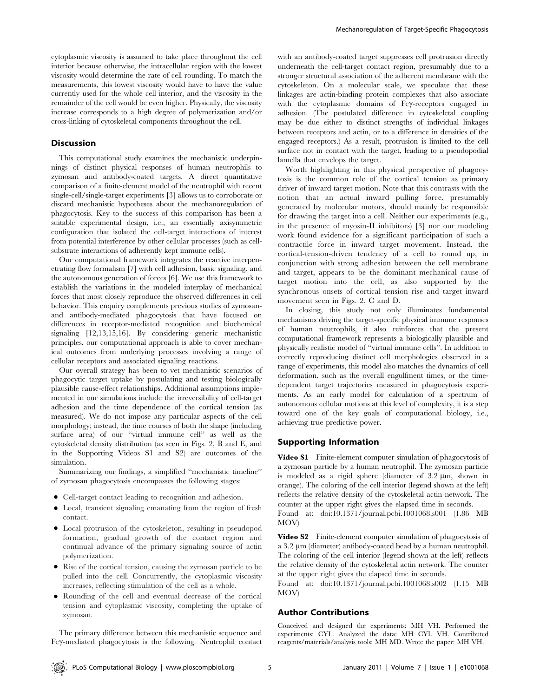cytoplasmic viscosity is assumed to take place throughout the cell interior because otherwise, the intracellular region with the lowest viscosity would determine the rate of cell rounding. To match the measurements, this lowest viscosity would have to have the value currently used for the whole cell interior, and the viscosity in the remainder of the cell would be even higher. Physically, the viscosity increase corresponds to a high degree of polymerization and/or cross-linking of cytoskeletal components throughout the cell.

#### Discussion

This computational study examines the mechanistic underpinnings of distinct physical responses of human neutrophils to zymosan and antibody-coated targets. A direct quantitative comparison of a finite-element model of the neutrophil with recent single-cell/single-target experiments [3] allows us to corroborate or discard mechanistic hypotheses about the mechanoregulation of phagocytosis. Key to the success of this comparison has been a suitable experimental design, i.e., an essentially axisymmetric configuration that isolated the cell-target interactions of interest from potential interference by other cellular processes (such as cellsubstrate interactions of adherently kept immune cells).

Our computational framework integrates the reactive interpenetrating flow formalism [7] with cell adhesion, basic signaling, and the autonomous generation of forces [6]. We use this framework to establish the variations in the modeled interplay of mechanical forces that most closely reproduce the observed differences in cell behavior. This enquiry complements previous studies of zymosanand antibody-mediated phagocytosis that have focused on differences in receptor-mediated recognition and biochemical signaling [12,13,15,16]. By considering generic mechanistic principles, our computational approach is able to cover mechanical outcomes from underlying processes involving a range of cellular receptors and associated signaling reactions.

Our overall strategy has been to vet mechanistic scenarios of phagocytic target uptake by postulating and testing biologically plausible cause-effect relationships. Additional assumptions implemented in our simulations include the irreversibility of cell-target adhesion and the time dependence of the cortical tension (as measured). We do not impose any particular aspects of the cell morphology; instead, the time courses of both the shape (including surface area) of our ''virtual immune cell'' as well as the cytoskeletal density distribution (as seen in Figs. 2, B and E, and in the Supporting Videos S1 and S2) are outcomes of the simulation.

Summarizing our findings, a simplified ''mechanistic timeline'' of zymosan phagocytosis encompasses the following stages:

- Cell-target contact leading to recognition and adhesion.
- N Local, transient signaling emanating from the region of fresh contact.
- N Local protrusion of the cytoskeleton, resulting in pseudopod formation, gradual growth of the contact region and continual advance of the primary signaling source of actin polymerization.
- $\bullet$  Rise of the cortical tension, causing the zymosan particle to be pulled into the cell. Concurrently, the cytoplasmic viscosity increases, reflecting stimulation of the cell as a whole.
- N Rounding of the cell and eventual decrease of the cortical tension and cytoplasmic viscosity, completing the uptake of zymosan.

The primary difference between this mechanistic sequence and Fc $\gamma$ -mediated phagocytosis is the following. Neutrophil contact

with an antibody-coated target suppresses cell protrusion directly underneath the cell-target contact region, presumably due to a stronger structural association of the adherent membrane with the cytoskeleton. On a molecular scale, we speculate that these linkages are actin-binding protein complexes that also associate with the cytoplasmic domains of  $Fc\gamma$ -receptors engaged in adhesion. (The postulated difference in cytoskeletal coupling may be due either to distinct strengths of individual linkages between receptors and actin, or to a difference in densities of the engaged receptors.) As a result, protrusion is limited to the cell surface not in contact with the target, leading to a pseudopodial lamella that envelops the target.

Worth highlighting in this physical perspective of phagocytosis is the common role of the cortical tension as primary driver of inward target motion. Note that this contrasts with the notion that an actual inward pulling force, presumably generated by molecular motors, should mainly be responsible for drawing the target into a cell. Neither our experiments (e.g., in the presence of myosin-II inhibitors) [3] nor our modeling work found evidence for a significant participation of such a contractile force in inward target movement. Instead, the cortical-tension-driven tendency of a cell to round up, in conjunction with strong adhesion between the cell membrane and target, appears to be the dominant mechanical cause of target motion into the cell, as also supported by the synchronous onsets of cortical tension rise and target inward movement seen in Figs. 2, C and D.

In closing, this study not only illuminates fundamental mechanisms driving the target-specific physical immune responses of human neutrophils, it also reinforces that the present computational framework represents a biologically plausible and physically realistic model of ''virtual immune cells''. In addition to correctly reproducing distinct cell morphologies observed in a range of experiments, this model also matches the dynamics of cell deformation, such as the overall engulfment times, or the timedependent target trajectories measured in phagocytosis experiments. As an early model for calculation of a spectrum of autonomous cellular motions at this level of complexity, it is a step toward one of the key goals of computational biology, i.e., achieving true predictive power.

#### Supporting Information

Video S1 Finite-element computer simulation of phagocytosis of a zymosan particle by a human neutrophil. The zymosan particle is modeled as a rigid sphere (diameter of  $3.2 \mu m$ , shown in orange). The coloring of the cell interior (legend shown at the left) reflects the relative density of the cytoskeletal actin network. The counter at the upper right gives the elapsed time in seconds.

Found at: doi:10.1371/journal.pcbi.1001068.s001 (1.86 MB MOV)

Video S2 Finite-element computer simulation of phagocytosis of a 3.2  $\mu$ m (diameter) antibody-coated bead by a human neutrophil. The coloring of the cell interior (legend shown at the left) reflects the relative density of the cytoskeletal actin network. The counter at the upper right gives the elapsed time in seconds.

Found at: doi:10.1371/journal.pcbi.1001068.s002 (1.15 MB MOV)

#### Author Contributions

Conceived and designed the experiments: MH VH. Performed the experiments: CYL. Analyzed the data: MH CYL VH. Contributed reagents/materials/analysis tools: MH MD. Wrote the paper: MH VH.